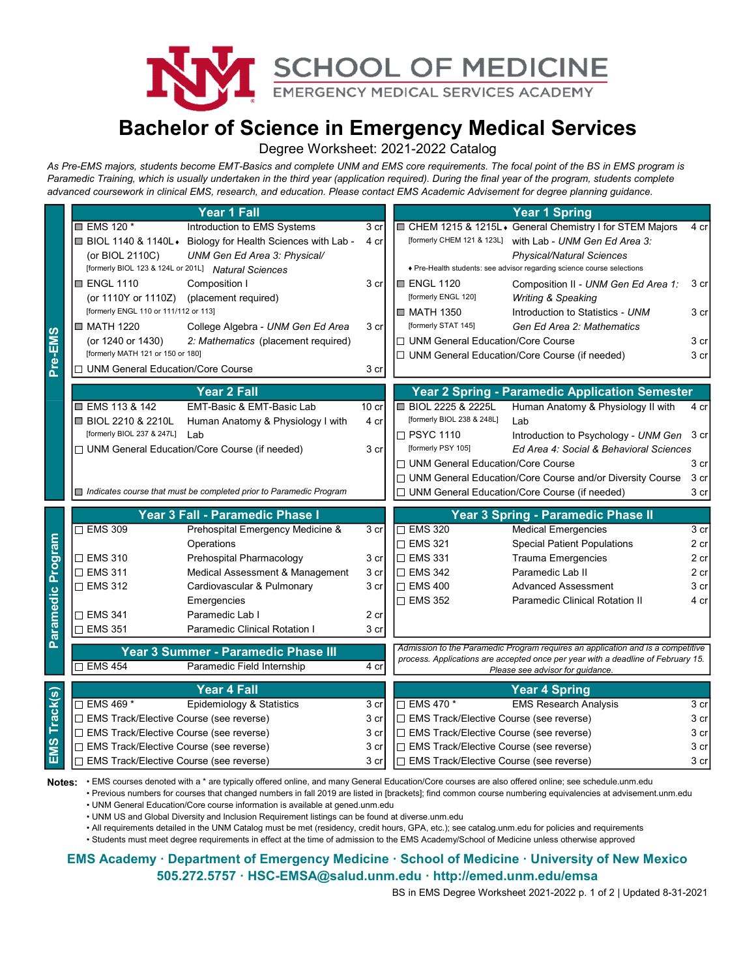

## Bachelor of Science in Emergency Medical Services

|              |                                                                                                                                                                                                                                                                                                               |                                                                          |                          | SCHOOL OF MEDICINE                                                                                                                                                                                                                |                                                                                                                                                                                                                           |                                                     |  |  |
|--------------|---------------------------------------------------------------------------------------------------------------------------------------------------------------------------------------------------------------------------------------------------------------------------------------------------------------|--------------------------------------------------------------------------|--------------------------|-----------------------------------------------------------------------------------------------------------------------------------------------------------------------------------------------------------------------------------|---------------------------------------------------------------------------------------------------------------------------------------------------------------------------------------------------------------------------|-----------------------------------------------------|--|--|
|              | Paramedic Training, which is usually undertaken in the third year (application required). During the final year of the program, students complete<br>advanced coursework in clinical EMS, research, and education. Please contact EMS Academic Advisement for degree planning guidance.<br><b>Year 1 Fall</b> |                                                                          |                          | Degree Worksheet: 2021-2022 Catalog                                                                                                                                                                                               | <b>Bachelor of Science in Emergency Medical Services</b><br>As Pre-EMS majors, students become EMT-Basics and complete UNM and EMS core requirements. The focal point of the BS in EMS program is<br><b>Year 1 Spring</b> |                                                     |  |  |
|              | $\blacksquare$ EMS 120 *<br>Introduction to EMS Systems<br>■ BIOL 1140 & 1140L + Biology for Health Sciences with Lab -<br>(or BIOL 2110C)<br>UNM Gen Ed Area 3: Physical/<br>[formerly BIOL 123 & 124L or 201L] Natural Sciences                                                                             |                                                                          |                          | CHEM 1215 & 1215L + General Chemistry I for STEM Majors<br>[formerly CHEM 121 & 123L] with Lab - UNM Gen Ed Area 3:<br><b>Physical/Natural Sciences</b><br>♦ Pre-Health students: see advisor regarding science course selections |                                                                                                                                                                                                                           |                                                     |  |  |
|              | <b>ENGL 1110</b><br>Composition I<br>(or 1110Y or 1110Z)<br>(placement required)                                                                                                                                                                                                                              |                                                                          | 3 cr                     | I⊟ ENGL 1120<br>[formerly ENGL 120]                                                                                                                                                                                               | Composition II - UNM Gen Ed Area 1:<br><b>Writing &amp; Speaking</b>                                                                                                                                                      | 3 cr                                                |  |  |
|              | [formerly ENGL 110 or 111/112 or 113]<br>■ MATH 1220<br>(or 1240 or 1430)                                                                                                                                                                                                                                     | College Algebra - UNM Gen Ed Area<br>2: Mathematics (placement required) | 3 cr                     | ■ MATH 1350<br>[formerly STAT 145]<br>□ UNM General Education/Core Course                                                                                                                                                         | Introduction to Statistics - UNM<br>Gen Ed Area 2: Mathematics                                                                                                                                                            | 3 cr<br>3 cr                                        |  |  |
| Pre-EMS      | [formerly MATH 121 or 150 or 180]<br>□ UNM General Education/Core Course                                                                                                                                                                                                                                      |                                                                          | 3 cr                     |                                                                                                                                                                                                                                   | □ UNM General Education/Core Course (if needed)                                                                                                                                                                           | 3 cr                                                |  |  |
|              | <b>Year 2 Fall</b>                                                                                                                                                                                                                                                                                            |                                                                          |                          |                                                                                                                                                                                                                                   | <b>Year 2 Spring - Paramedic Application Semester</b>                                                                                                                                                                     |                                                     |  |  |
|              | ■ EMS 113 & 142<br><b>■ BIOL 2210 &amp; 2210L</b><br>[formerly BIOL 237 & 247L]                                                                                                                                                                                                                               | EMT-Basic & EMT-Basic Lab<br>Human Anatomy & Physiology I with           | 10 <sub>cr</sub><br>4 cr | ■ BIOL 2225 & 2225L<br>[formerly BIOL 238 & 248L]                                                                                                                                                                                 | Human Anatomy & Physiology II with<br>Lab                                                                                                                                                                                 | 4 cr                                                |  |  |
|              | Lab<br>□ UNM General Education/Core Course (if needed)                                                                                                                                                                                                                                                        |                                                                          | 3 cr                     | $\Box$ PSYC 1110<br>Introduction to Psychology - UNM Gen<br>[formerly PSY 105]<br>Ed Area 4: Social & Behavioral Sciences<br>□ UNM General Education/Core Course                                                                  |                                                                                                                                                                                                                           |                                                     |  |  |
|              | Indicates course that must be completed prior to Paramedic Program                                                                                                                                                                                                                                            |                                                                          |                          |                                                                                                                                                                                                                                   | □ UNM General Education/Core Course and/or Diversity Course<br>□ UNM General Education/Core Course (if needed)                                                                                                            | 3 cr<br>$3$ cr<br>3 cr<br>3 cr<br>$\overline{3}$ cr |  |  |
|              | Year 3 Fall - Paramedic Phase I                                                                                                                                                                                                                                                                               |                                                                          |                          |                                                                                                                                                                                                                                   | Year 3 Spring - Paramedic Phase II                                                                                                                                                                                        |                                                     |  |  |
| dic Program  | $\overline{\Box}$ EMS 309                                                                                                                                                                                                                                                                                     | Prehospital Emergency Medicine &                                         | 3 cr                     | $\Box$ EMS 320                                                                                                                                                                                                                    | <b>Medical Emergencies</b>                                                                                                                                                                                                |                                                     |  |  |
|              | Operations                                                                                                                                                                                                                                                                                                    |                                                                          |                          | $\square$ EMS 321                                                                                                                                                                                                                 | <b>Special Patient Populations</b>                                                                                                                                                                                        | 2 cr                                                |  |  |
|              | $\Box$ EMS 310                                                                                                                                                                                                                                                                                                | Prehospital Pharmacology                                                 | 3 cr                     | $\square$ EMS 331                                                                                                                                                                                                                 | <b>Trauma Emergencies</b>                                                                                                                                                                                                 | 2 cr                                                |  |  |
|              | □ EMS 311                                                                                                                                                                                                                                                                                                     | Medical Assessment & Management                                          | 3 cr                     | $\square$ EMS 342                                                                                                                                                                                                                 | Paramedic Lab II                                                                                                                                                                                                          | $2$ cr                                              |  |  |
|              | $\square$ EMS 312                                                                                                                                                                                                                                                                                             | Cardiovascular & Pulmonary                                               | 3 cr                     | $\Box$ EMS 400                                                                                                                                                                                                                    | <b>Advanced Assessment</b>                                                                                                                                                                                                | 3 cr                                                |  |  |
|              | Emergencies<br>$\Box$ EMS 341<br>Paramedic Lab I                                                                                                                                                                                                                                                              |                                                                          | 2 cr                     | $\Box$ EMS 352                                                                                                                                                                                                                    | Paramedic Clinical Rotation II                                                                                                                                                                                            | 4 cr                                                |  |  |
| Parame       | □ EMS 351                                                                                                                                                                                                                                                                                                     | Paramedic Clinical Rotation I                                            | 3 cr                     |                                                                                                                                                                                                                                   |                                                                                                                                                                                                                           |                                                     |  |  |
|              | Year 3 Summer - Paramedic Phase III                                                                                                                                                                                                                                                                           |                                                                          |                          | Admission to the Paramedic Program requires an application and is a competitive                                                                                                                                                   |                                                                                                                                                                                                                           |                                                     |  |  |
|              | $\Box$ EMS 454<br>Paramedic Field Internship                                                                                                                                                                                                                                                                  |                                                                          | 4 cr                     | process. Applications are accepted once per year with a deadline of February 15.<br>Please see advisor for guidance.                                                                                                              |                                                                                                                                                                                                                           |                                                     |  |  |
|              | <b>Year 4 Fall</b>                                                                                                                                                                                                                                                                                            |                                                                          |                          |                                                                                                                                                                                                                                   | <b>Year 4 Spring</b>                                                                                                                                                                                                      |                                                     |  |  |
| EMS Track(s) | $\Box$ EMS 469 *                                                                                                                                                                                                                                                                                              | Epidemiology & Statistics                                                | 3 cr                     | $\Box$ EMS 470 $^*$                                                                                                                                                                                                               | <b>EMS Research Analysis</b>                                                                                                                                                                                              | 3 cr                                                |  |  |
|              | □ EMS Track/Elective Course (see reverse)                                                                                                                                                                                                                                                                     |                                                                          | 3 cr                     | □ EMS Track/Elective Course (see reverse)                                                                                                                                                                                         |                                                                                                                                                                                                                           |                                                     |  |  |
|              | □ EMS Track/Elective Course (see reverse)                                                                                                                                                                                                                                                                     |                                                                          | 3 cr                     | □ EMS Track/Elective Course (see reverse)                                                                                                                                                                                         |                                                                                                                                                                                                                           |                                                     |  |  |
|              | □ EMS Track/Elective Course (see reverse)                                                                                                                                                                                                                                                                     |                                                                          | 3 cr                     | □ EMS Track/Elective Course (see reverse)                                                                                                                                                                                         |                                                                                                                                                                                                                           | 3 cr                                                |  |  |
|              | □ EMS Track/Elective Course (see reverse)                                                                                                                                                                                                                                                                     |                                                                          | 3 cr                     | □ EMS Track/Elective Course (see reverse)                                                                                                                                                                                         |                                                                                                                                                                                                                           | $3$ cr                                              |  |  |

Notes: • EMS courses denoted with a \* are typically offered online, and many General Education/Core courses are also offered online; see schedule.unm.edu

• Previous numbers for courses that changed numbers in fall 2019 are listed in [brackets]; find common course numbering equivalencies at advisement.unm.edu

• UNM General Education/Core course information is available at gened.unm.edu

• UNM US and Global Diversity and Inclusion Requirement listings can be found at diverse.unm.edu

• All requirements detailed in the UNM Catalog must be met (residency, credit hours, GPA, etc.); see catalog.unm.edu for policies and requirements

• Students must meet degree requirements in effect at the time of admission to the EMS Academy/School of Medicine unless otherwise approved

## 505.272.5757 · HSC-EMSA@salud.unm.edu · http://emed.unm.edu/emsa EMS Academy · Department of Emergency Medicine · School of Medicine · University of New Mexico

BS in EMS Degree Worksheet 2021-2022 p. 1 of 2 | Updated 8-31-2021